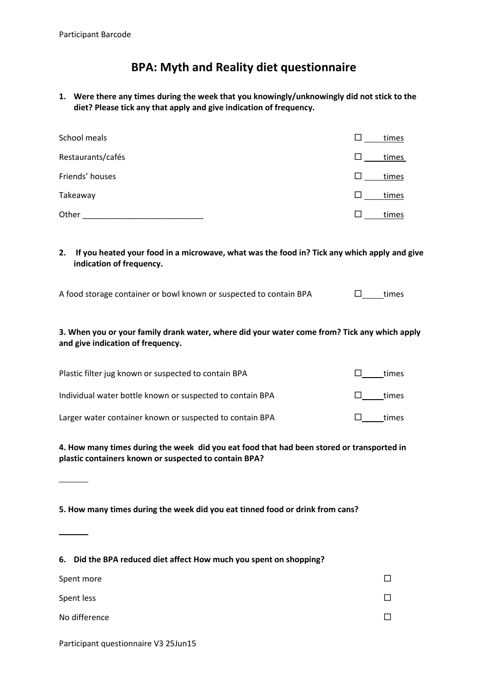# **BPA: Myth and Reality diet questionnaire**

**1. Were there any times during the week that you knowingly/unknowingly did not stick to the diet? Please tick any that apply and give indication of frequency.**

| School meals      | times |
|-------------------|-------|
| Restaurants/cafés | times |
| Friends' houses   | times |
| Takeaway          | times |
| Other             | times |

**2. If you heated your food in a microwave, what was the food in? Tick any which apply and give indication of frequency.**

A food storage container or bowl known or suspected to contain BPA  $\square$  times

### **3. When you or your family drank water, where did your water come from? Tick any which apply and give indication of frequency.**

| Plastic filter jug known or suspected to contain BPA      | times |
|-----------------------------------------------------------|-------|
| Individual water bottle known or suspected to contain BPA | times |
| Larger water container known or suspected to contain BPA  | times |

#### **4. How many times during the week did you eat food that had been stored or transported in plastic containers known or suspected to contain BPA?**

**5. How many times during the week did you eat tinned food or drink from cans?** 

| 6. Did the BPA reduced diet affect How much you spent on shopping? |  |
|--------------------------------------------------------------------|--|
| Spent more                                                         |  |
| Spent less                                                         |  |
| No difference                                                      |  |

Participant questionnaire V3 25Jun15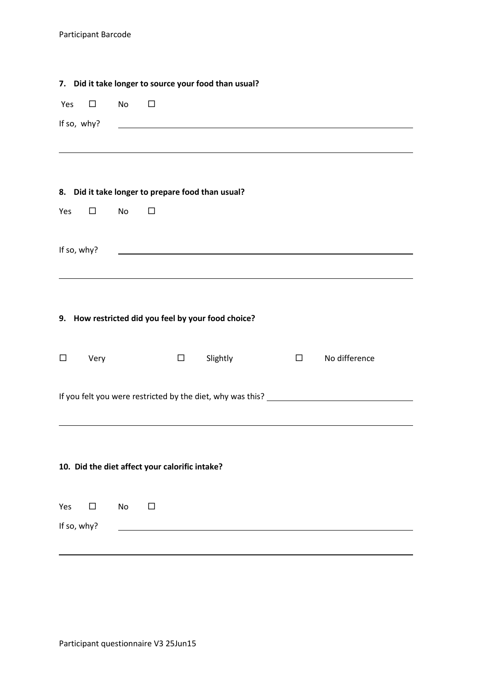|             |             |           |                                                | 7. Did it take longer to source your food than usual?                                                                |        |                                                                                  |  |
|-------------|-------------|-----------|------------------------------------------------|----------------------------------------------------------------------------------------------------------------------|--------|----------------------------------------------------------------------------------|--|
| Yes         | $\Box$      | <b>No</b> | $\Box$                                         |                                                                                                                      |        |                                                                                  |  |
|             | If so, why? |           |                                                | <u> 1989 - Jan Stein Stein Stein Stein Stein Stein Stein Stein Stein Stein Stein Stein Stein Stein Stein Stein S</u> |        |                                                                                  |  |
|             |             |           |                                                |                                                                                                                      |        |                                                                                  |  |
|             |             |           |                                                |                                                                                                                      |        |                                                                                  |  |
|             |             |           |                                                | 8. Did it take longer to prepare food than usual?                                                                    |        |                                                                                  |  |
| Yes         | $\Box$      | <b>No</b> | □                                              |                                                                                                                      |        |                                                                                  |  |
|             |             |           |                                                |                                                                                                                      |        |                                                                                  |  |
| If so, why? |             |           |                                                |                                                                                                                      |        |                                                                                  |  |
|             |             |           |                                                |                                                                                                                      |        |                                                                                  |  |
|             |             |           |                                                |                                                                                                                      |        |                                                                                  |  |
|             |             |           |                                                | 9. How restricted did you feel by your food choice?                                                                  |        |                                                                                  |  |
|             |             |           |                                                |                                                                                                                      |        |                                                                                  |  |
| $\Box$      | Very        |           | $\Box$                                         | Slightly                                                                                                             | $\Box$ | No difference                                                                    |  |
|             |             |           |                                                |                                                                                                                      |        |                                                                                  |  |
|             |             |           |                                                |                                                                                                                      |        | If you felt you were restricted by the diet, why was this? _____________________ |  |
|             |             |           |                                                |                                                                                                                      |        |                                                                                  |  |
|             |             |           |                                                |                                                                                                                      |        |                                                                                  |  |
|             |             |           | 10. Did the diet affect your calorific intake? |                                                                                                                      |        |                                                                                  |  |
|             |             |           |                                                |                                                                                                                      |        |                                                                                  |  |
| Yes         | □           | No        | □                                              |                                                                                                                      |        |                                                                                  |  |
| If so, why? |             |           |                                                |                                                                                                                      |        |                                                                                  |  |
|             |             |           |                                                |                                                                                                                      |        |                                                                                  |  |
|             |             |           |                                                |                                                                                                                      |        |                                                                                  |  |